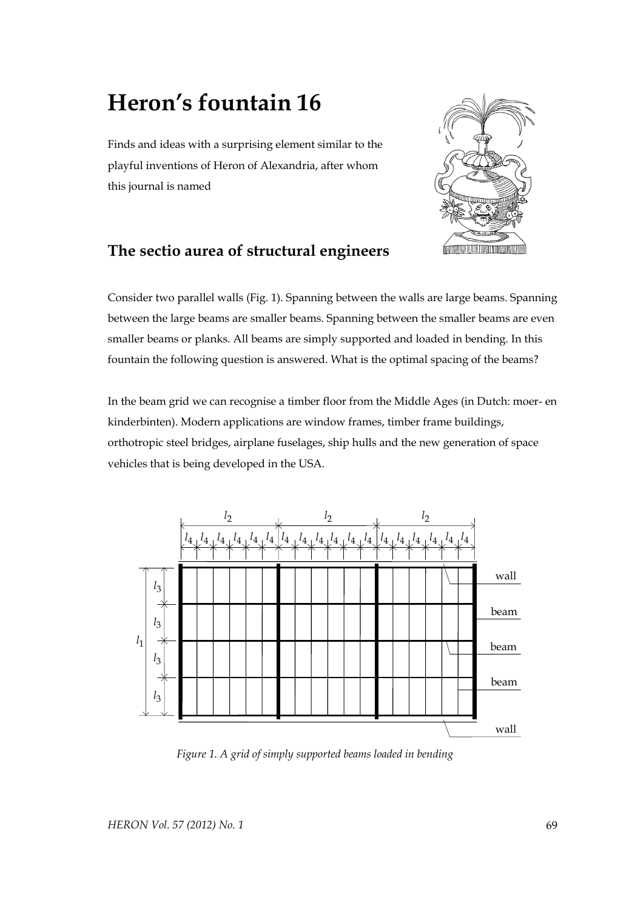## **Heron's fountain 16**

Finds and ideas with a surprising element similar to the playful inventions of Heron of Alexandria, after whom this journal is named



## **The sectio aurea of structural engineers**

Consider two parallel walls (Fig. 1). Spanning between the walls are large beams. Spanning between the large beams are smaller beams. Spanning between the smaller beams are even smaller beams or planks. All beams are simply supported and loaded in bending. In this fountain the following question is answered. What is the optimal spacing of the beams?

In the beam grid we can recognise a timber floor from the Middle Ages (in Dutch: moer- en kinderbinten). Modern applications are window frames, timber frame buildings, orthotropic steel bridges, airplane fuselages, ship hulls and the new generation of space vehicles that is being developed in the USA.



 *Figure 1. A grid of simply supported beams loaded in bending*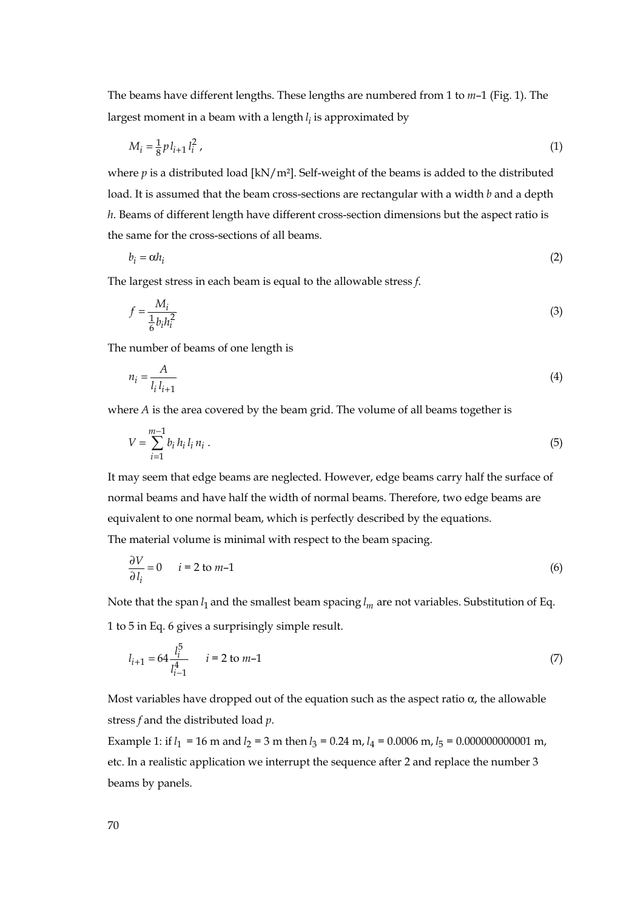The beams have different lengths. These lengths are numbered from 1 to *m*–1 (Fig. 1). The largest moment in a beam with a length *<sup>i</sup> l* is approximated by

$$
M_i = \frac{1}{8} p l_{i+1} l_i^2 \tag{1}
$$

where  $p$  is a distributed load  $\left[\kappa N/m^2\right]$ . Self-weight of the beams is added to the distributed load. It is assumed that the beam cross-sections are rectangular with a width *b* and a depth *h*. Beams of different length have different cross-section dimensions but the aspect ratio is the same for the cross-sections of all beams.

$$
b_i = \alpha h_i \tag{2}
$$

The largest stress in each beam is equal to the allowable stress *f*.

$$
f = \frac{M_i}{\frac{1}{6}b_i h_i^2} \tag{3}
$$

The number of beams of one length is

$$
n_i = \frac{A}{l_i l_{i+1}}
$$
\n<sup>(4)</sup>

where *A* is the area covered by the beam grid. The volume of all beams together is

$$
V = \sum_{i=1}^{m-1} b_i h_i l_i n_i . \tag{5}
$$

It may seem that edge beams are neglected. However, edge beams carry half the surface of normal beams and have half the width of normal beams. Therefore, two edge beams are equivalent to one normal beam, which is perfectly described by the equations. The material volume is minimal with respect to the beam spacing.

$$
\frac{\partial V}{\partial l_i} = 0 \qquad i = 2 \text{ to } m-1 \tag{6}
$$

Note that the span <sup>1</sup> *l* and the smallest beam spacing *l <sup>m</sup>* are not variables. Substitution of Eq. 1 to 5 in Eq. 6 gives a surprisingly simple result.

$$
l_{i+1} = 64 \frac{l_i^5}{l_{i-1}^4} \qquad i = 2 \text{ to } m-1 \tag{7}
$$

Most variables have dropped out of the equation such as the aspect ratio  $\alpha$ , the allowable stress *f* and the distributed load *p*.

Example 1: if  $l_1 = 16$  m and  $l_2 = 3$  m then  $l_3 = 0.24$  m,  $l_4 = 0.0006$  m,  $l_5 = 0.000000000001$  m, etc. In a realistic application we interrupt the sequence after 2 and replace the number 3 beams by panels.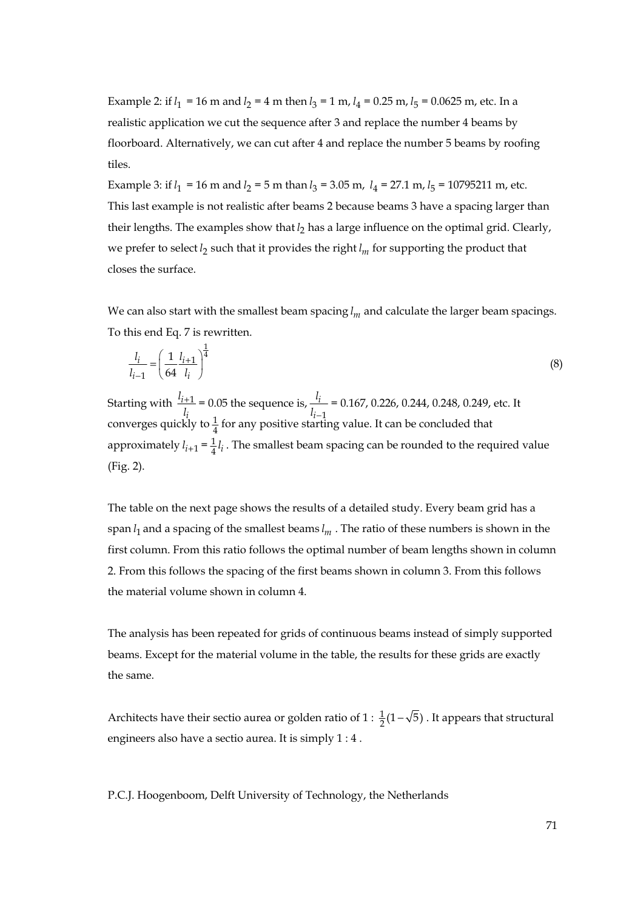Example 2: if  $l_1 = 16$  m and  $l_2 = 4$  m then  $l_3 = 1$  m,  $l_4 = 0.25$  m,  $l_5 = 0.0625$  m, etc. In a realistic application we cut the sequence after 3 and replace the number 4 beams by floorboard. Alternatively, we can cut after 4 and replace the number 5 beams by roofing tiles.

Example 3: if  $l_1 = 16$  m and  $l_2 = 5$  m than  $l_3 = 3.05$  m,  $l_4 = 27.1$  m,  $l_5 = 10795211$  m, etc. This last example is not realistic after beams 2 because beams 3 have a spacing larger than their lengths. The examples show that  $l_2$  has a large influence on the optimal grid. Clearly, we prefer to select  $l_2$  such that it provides the right  $l_m$  for supporting the product that closes the surface.

We can also start with the smallest beam spacing *l <sup>m</sup>* and calculate the larger beam spacings. To this end Eq. 7 is rewritten.

$$
\frac{l_i}{l_{i-1}} = \left(\frac{1}{64} \frac{l_{i+1}}{l_i}\right)^{\frac{1}{4}}
$$
\n(8)

Starting with  $\frac{l_{i+1}}{l_{i+1}}$ *i*  $\frac{l_{i+1}}{l_i}$  = 0.05 the sequence is,  $\frac{l_i}{l_{i-1}}$ *i i*  $\frac{l_i}{l_{i-1}}$  = 0.167, 0.226, 0.244, 0.248, 0.249, etc. It converges quickly to  $\frac{1}{4}$  for any positive starting value. It can be concluded that approximately  $l_{i+1} = \frac{1}{4}l_i$ . The smallest beam spacing can be rounded to the required value (Fig. 2).

The table on the next page shows the results of a detailed study. Every beam grid has a span <sup>1</sup>*l* and a spacing of the smallest beams *l <sup>m</sup>* . The ratio of these numbers is shown in the first column. From this ratio follows the optimal number of beam lengths shown in column 2. From this follows the spacing of the first beams shown in column 3. From this follows the material volume shown in column 4.

The analysis has been repeated for grids of continuous beams instead of simply supported beams. Except for the material volume in the table, the results for these grids are exactly the same.

Architects have their sectio aurea or golden ratio of  $1: \frac{1}{2}(1-\sqrt{5})$  . It appears that structural engineers also have a sectio aurea. It is simply 1 : 4 .

P.C.J. Hoogenboom, Delft University of Technology, the Netherlands